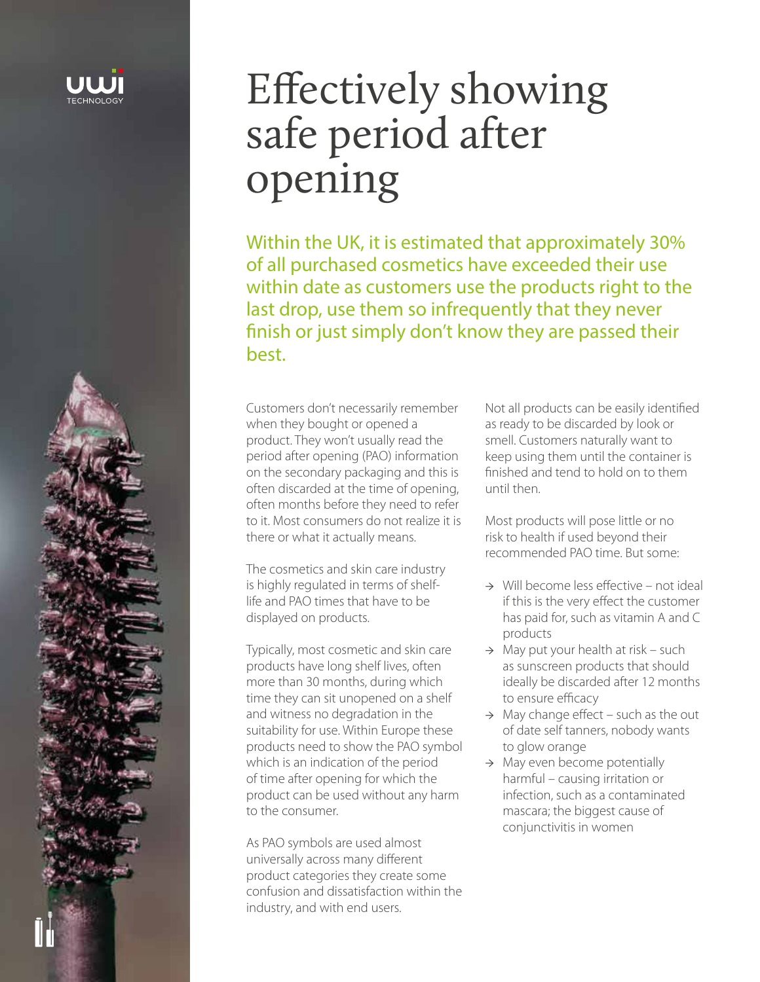

# Effectively showing safe period after opening

Within the UK, it is estimated that approximately 30% of all purchased cosmetics have exceeded their use within date as customers use the products right to the last drop, use them so infrequently that they never finish or just simply don't know they are passed their best.

Customers don't necessarily remember when they bought or opened a product. They won't usually read the period after opening (PAO) information on the secondary packaging and this is often discarded at the time of opening, often months before they need to refer to it. Most consumers do not realize it is there or what it actually means.

The cosmetics and skin care industry is highly regulated in terms of shelflife and PAO times that have to be displayed on products.

Typically, most cosmetic and skin care products have long shelf lives, often more than 30 months, during which time they can sit unopened on a shelf and witness no degradation in the suitability for use. Within Europe these products need to show the PAO symbol which is an indication of the period of time after opening for which the product can be used without any harm to the consumer.

As PAO symbols are used almost universally across many different product categories they create some confusion and dissatisfaction within the industry, and with end users.

Not all products can be easily identified as ready to be discarded by look or smell. Customers naturally want to keep using them until the container is finished and tend to hold on to them until then.

Most products will pose little or no risk to health if used beyond their recommended PAO time. But some:

- → Will become less effective not ideal if this is the very effect the customer has paid for, such as vitamin A and C products
- $\rightarrow$  May put your health at risk such as sunscreen products that should ideally be discarded after 12 months to ensure efficacy
- $\rightarrow$  May change effect such as the out of date self tanners, nobody wants to glow orange
- $\rightarrow$  May even become potentially harmful – causing irritation or infection, such as a contaminated mascara; the biggest cause of conjunctivitis in women